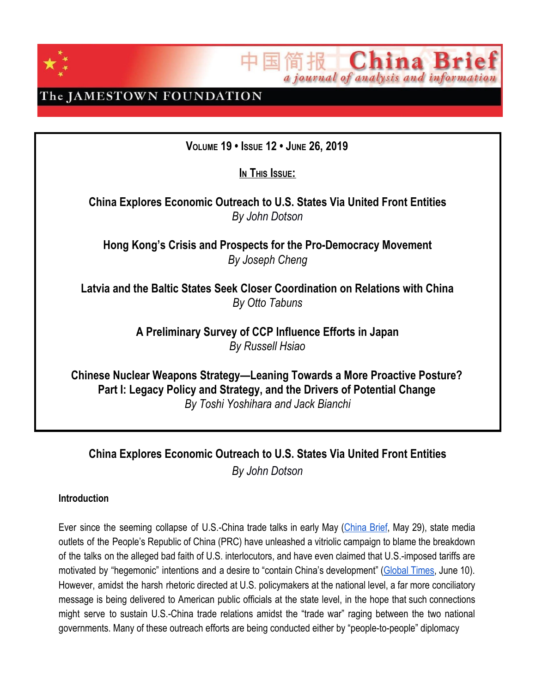

**China Bri** a journal of analysis and information

The JAMESTOWN FOUNDATION

**VOLUME 19 • ISSUE 12 • JUNE 26, 2019**

 $I$ **N** This **Issue**:

**China Explores Economic Outreach to U.S. States Via United Front Entities** *By John Dotson*

**Hong Kong's Crisis and Prospects for the Pro-Democracy Movement** *By Joseph Cheng*

**Latvia and the Baltic States Seek Closer Coordination on Relations with China** *By Otto Tabuns*

> **A Preliminary Survey of CCP Influence Efforts in Japan** *By Russell Hsiao*

**Chinese Nuclear Weapons Strategy—Leaning Towards a More Proactive Posture? Part I: Legacy Policy and Strategy, and the Drivers of Potential Change** *By Toshi Yoshihara and Jack Bianchi*

**China Explores Economic Outreach to U.S. States Via United Front Entities** *By John Dotson*

### **Introduction**

Ever since the seeming collapse of U.S.-China trade talks in early May [\(China](https://jamestown.org/program/what-derailed-the-u-s-china-trade-talks/) Brief, May 29), state media outlets of the People's Republic of China (PRC) have unleashed a vitriolic campaign to blame the breakdown of the talks on the alleged bad faith of U.S. interlocutors, and have even claimed that U.S.-imposed tariffs are motivated by "hegemonic" intentions and a desire to "contain China's development" [\(Global](http://www.globaltimes.cn/content/1153785.shtml) Times, June 10). However, amidst the harsh rhetoric directed at U.S. policymakers at the national level, a far more conciliatory message is being delivered to American public officials at the state level, in the hope that such connections might serve to sustain U.S.-China trade relations amidst the "trade war" raging between the two national governments. Many of these outreach efforts are being conducted either by "people-to-people" diplomacy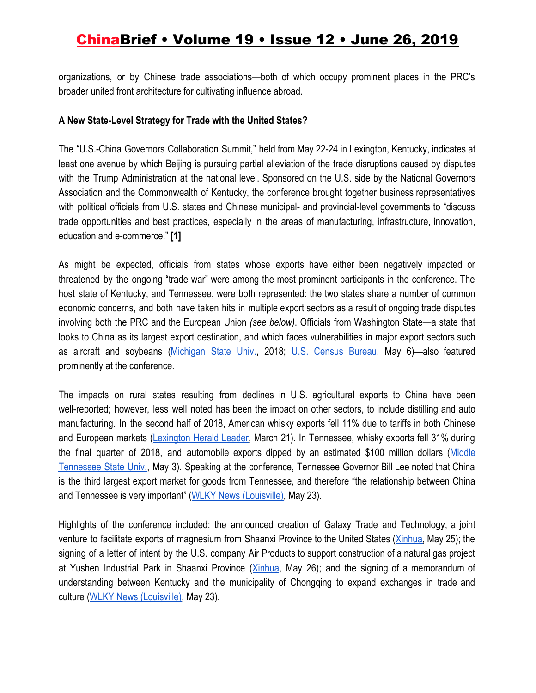organizations, or by Chinese trade associations—both of which occupy prominent places in the PRC's broader united front architecture for cultivating influence abroad.

#### **A New State-Level Strategy for Trade with the United States?**

The "U.S.-China Governors Collaboration Summit," held from May 22-24 in Lexington, Kentucky, indicates at least one avenue by which Beijing is pursuing partial alleviation of the trade disruptions caused by disputes with the Trump Administration at the national level. Sponsored on the U.S. side by the National Governors Association and the Commonwealth of Kentucky, the conference brought together business representatives with political officials from U.S. states and Chinese municipal- and provincial-level governments to "discuss trade opportunities and best practices, especially in the areas of manufacturing, infrastructure, innovation, education and e-commerce." **[1]**

As might be expected, officials from states whose exports have either been negatively impacted or threatened by the ongoing "trade war" were among the most prominent participants in the conference. The host state of Kentucky, and Tennessee, were both represented: the two states share a number of common economic concerns, and both have taken hits in multiple export sectors as a result of ongoing trade disputes involving both the PRC and the European Union *(see below)*. Officials from Washington State—a state that looks to China as its largest export destination, and which faces vulnerabilities in major export sectors such as aircraft and soybeans [\(Michigan](https://globaledge.msu.edu/states/washington/tradestats) State Univ., 2018; U.S. [Census](https://www.census.gov/foreign-trade/statistics/state/data/wa.html) Bureau, May 6)-also featured prominently at the conference.

The impacts on rural states resulting from declines in U.S. agricultural exports to China have been well-reported; however, less well noted has been the impact on other sectors, to include distilling and auto manufacturing. In the second half of 2018, American whisky exports fell 11% due to tariffs in both Chinese and European markets ([Lexington](https://www.kentucky.com/news/business/bourbon-industry/article228222864.html) Herald Leader, March 21). In Tennessee, whisky exports fell 31% during the final quarter of 2018, and automobile exports dipped by an estimated \$100 million dollars [\(Middle](https://mtsu.edu/globalcommerce/4q2018.php) [Tennessee](https://mtsu.edu/globalcommerce/4q2018.php) State Univ., May 3). Speaking at the conference, Tennessee Governor Bill Lee noted that China is the third largest export market for goods from Tennessee, and therefore "the relationship between China and Tennessee is very important" ([WLKY News \(Louisville\)](https://www.wlky.com/article/kentucky-hosts-us-china-governors-collaboration-summit/27571826), May 23).

Highlights of the conference included: the announced creation of Galaxy Trade and Technology, a joint venture to facilitate exports of magnesium from Shaanxi Province to the United States [\(Xinhua,](http://www.galaxytradetechnology.com/news/xinhua-news-magnesium-joint-venture/#.XP8HBo97nIU) May 25); the signing of a letter of intent by the U.S. company Air Products to support construction of a natural gas project at Yushen Industrial Park in Shaanxi Province ([Xinhua](http://www.xinhuanet.com/english/2019-05/26/c_138089365.htm), May 26); and the signing of a memorandum of understanding between Kentucky and the municipality of Chongqing to expand exchanges in trade and culture ([WLKY News \(Louisville\),](https://www.wlky.com/article/kentucky-hosts-us-china-governors-collaboration-summit/27571826) May 23).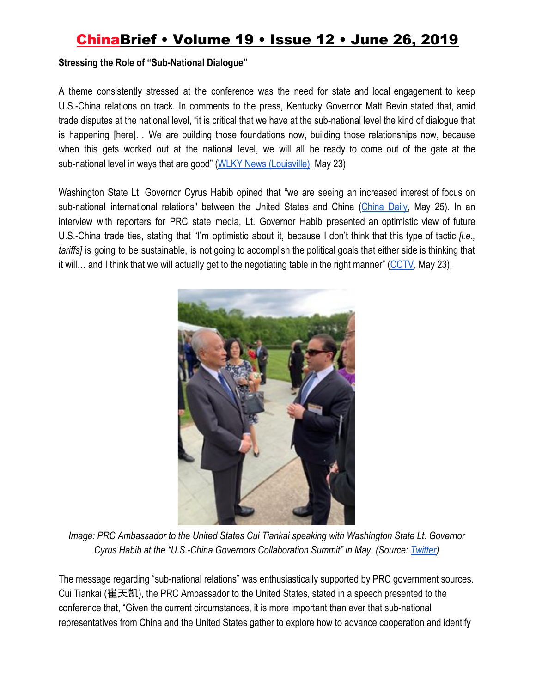#### **Stressing the Role of "Sub-National Dialogue"**

A theme consistently stressed at the conference was the need for state and local engagement to keep U.S.-China relations on track. In comments to the press, Kentucky Governor Matt Bevin stated that, amid trade disputes at the national level, "it is critical that we have at the sub-national level the kind of dialogue that is happening [here]… We are building those foundations now, building those relationships now, because when this gets worked out at the national level, we will all be ready to come out of the gate at the sub-national level in ways that are good" [\(WLKY News \(Louisville\)](https://www.wlky.com/article/kentucky-hosts-us-china-governors-collaboration-summit/27571826), May 23).

Washington State Lt. Governor Cyrus Habib opined that "we are seeing an increased interest of focus on sub-national international relations" between the United States and China [\(China](http://global.chinadaily.com.cn/a/201905/25/WS5ce84281a3104842260bdb0a.html) Daily, May 25). In an interview with reporters for PRC state media, Lt. Governor Habib presented an optimistic view of future U.S.-China trade ties, stating that "I'm optimistic about it, because I don't think that this type of tactic *[i.e., tariffs]* is going to be sustainable, is not going to accomplish the political goals that either side is thinking that it will… and I think that we will actually get to the negotiating table in the right manner" ([CCTV](http://www.cctvplus.com/news/20190525/8111571.shtml), May 23).



*Image: PRC Ambassador to the United States Cui Tiankai speaking with Washington State Lt. Governor Cyrus Habib at the "U.S.-China Governors Collaboration Summit" in May. (Source[:](https://twitter.com/waltgov?lang=en) [Twitter\)](https://twitter.com/waltgov?lang=en)*

The message regarding "sub-national relations" was enthusiastically supported by PRC government sources. Cui Tiankai (崔天凯), the PRC Ambassador to the United States, stated in a speech presented to the conference that, "Given the current circumstances, it is more important than ever that sub-national representatives from China and the United States gather to explore how to advance cooperation and identify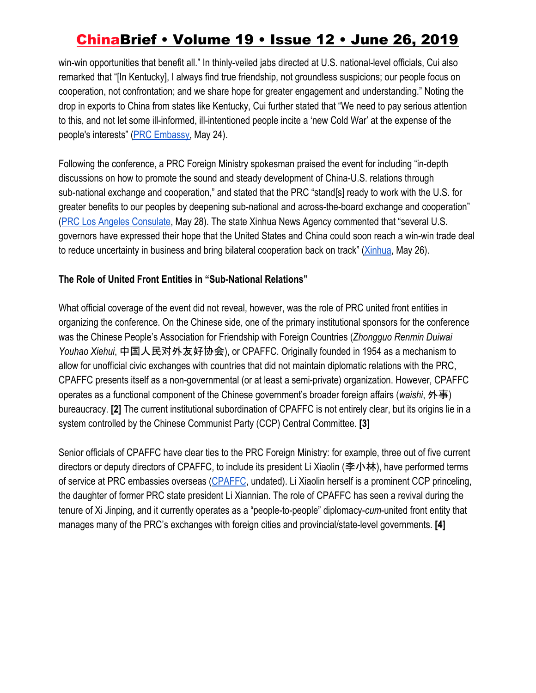win-win opportunities that benefit all." In thinly-veiled jabs directed at U.S. national-level officials, Cui also remarked that "[In Kentucky], I always find true friendship, not groundless suspicions; our people focus on cooperation, not confrontation; and we share hope for greater engagement and understanding." Noting the drop in exports to China from states like Kentucky, Cui further stated that "We need to pay serious attention to this, and not let some ill-informed, ill-intentioned people incite a 'new Cold War' at the expense of the people's interests" [\(PRC Embassy,](http://www.china-embassy.org/eng/dszl/dsjh/t1666134.htm) May 24).

Following the conference, a PRC Foreign Ministry spokesman praised the event for including "in-depth discussions on how to promote the sound and steady development of China-U.S. relations through sub-national exchange and cooperation," and stated that the PRC "stand[s] ready to work with the U.S. for greater benefits to our peoples by deepening sub-national and across-the-board exchange and cooperation" [\(PRC Los Angeles Consulate,](http://losangeles.china-consulate.org/eng/confenrence/t1667291.htm) May 28). The state Xinhua News Agency commented that "several U.S. governors have expressed their hope that the United States and China could soon reach a win-win trade deal to reduce uncertainty in business and bring bilateral cooperation back on track" [\(Xinhua](http://www.ecns.cn/business/2019-05-26/detail-ifziqifn8553776.shtml), May 26).

### **The Role of United Front Entities in "Sub-National Relations"**

What official coverage of the event did not reveal, however, was the role of PRC united front entities in organizing the conference. On the Chinese side, one of the primary institutional sponsors for the conference was the Chinese People's Association for Friendship with Foreign Countries (*Zhongguo Renmin Duiwai Youhao Xiehui*, 中国人民对外友好协会), or CPAFFC. Originally founded in 1954 as a mechanism to allow for unofficial civic exchanges with countries that did not maintain diplomatic relations with the PRC, CPAFFC presents itself as a non-governmental (or at least a semi-private) organization. However, CPAFFC operates as a functional component of the Chinese government's broader foreign affairs (*waishi*, 外事) bureaucracy. **[2]** The current institutional subordination of CPAFFC is not entirely clear, but its origins lie in a system controlled by the Chinese Communist Party (CCP) Central Committee. **[3]**

Senior officials of CPAFFC have clear ties to the PRC Foreign Ministry: for example, three out of five current directors or deputy directors of CPAFFC, to include its president Li Xiaolin (李小林), have performed terms of service at PRC embassies overseas ([CPAFFC](http://www.cpaffc.org.cn/introduction/nowLeleader.html), undated). Li Xiaolin herself is a prominent CCP princeling, the daughter of former PRC state president Li Xiannian. The role of CPAFFC has seen a revival during the tenure of Xi Jinping, and it currently operates as a "people-to-people" diplomacy-*cum*-united front entity that manages many of the PRC's exchanges with foreign cities and provincial/state-level governments. **[4]**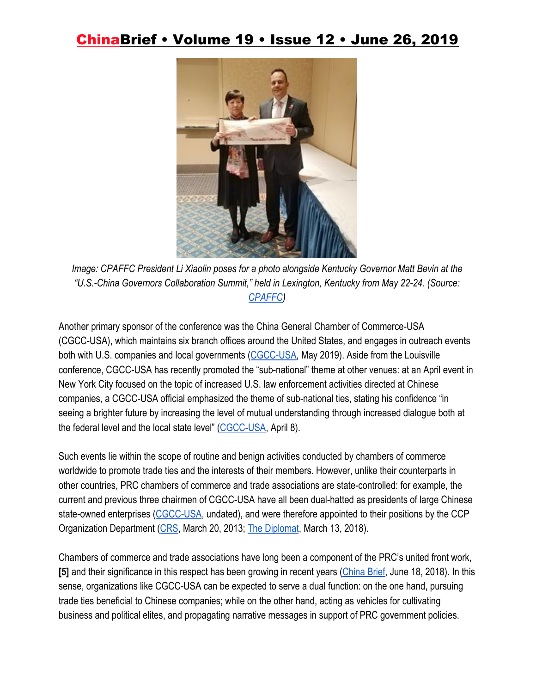

*Image: CPAFFC President Li Xiaolin poses for a photo alongside Kentucky Governor Matt Bevin at the "U.S.-China Governors Collaboration Summit," held in Lexington, Kentucky from May 22-24. (Source[:](http://www.cpaffc.org.cn/content/details19-79524.html) [CPAFFC](http://www.cpaffc.org.cn/content/details19-79524.html))*

Another primary sponsor of the conference was the China General Chamber of Commerce-USA (CGCC-USA), which maintains six branch offices around the United States, and engages in outreach events both with U.S. companies and local governments [\(CGCC-USA,](https://www.cgccusa.org/en/category/programs/regional-and-industrial-events/) May 2019). Aside from the Louisville conference, CGCC-USA has recently promoted the "sub-national" theme at other venues: at an April event in New York City focused on the topic of increased U.S. law enforcement activities directed at Chinese companies, a CGCC-USA official emphasized the theme of sub-national ties, stating his confidence "in seeing a brighter future by increasing the level of mutual understanding through increased dialogue both at the federal level and the local state level" [\(CGCC-USA,](https://www.cgccusa.org/en/addressing-the-department-of-justices-china-initiative-and-related-increases-in-the-enforcement-of-u-s-law-targeting-china-companies/) April 8).

Such events lie within the scope of routine and benign activities conducted by chambers of commerce worldwide to promote trade ties and the interests of their members. However, unlike their counterparts in other countries, PRC chambers of commerce and trade associations are state-controlled: for example, the current and previous three chairmen of CGCC-USA have all been dual-hatted as presidents of large Chinese state-owned enterprises ([CGCC-USA](https://www.cgccusa.org/en/message-from-chairman/), undated), and were therefore appointed to their positions by the CCP Organization Department ([CRS,](https://www.everycrsreport.com/reports/R41007.html#_Toc351623381) March 20, 2013[;](https://thediplomat.com/2018/03/can-china-keep-controlling-its-soes/) [The Diplomat](https://thediplomat.com/2018/03/can-china-keep-controlling-its-soes/), March 13, 2018).

Chambers of commerce and trade associations have long been a component of the PRC's united front work, **[5]** and their significance in this respect has been growing in recent years ([China Brief](https://jamestown.org/program/understanding-the-role-of-chambers-of-commerce-and-industry-associations-in-united-front-work/), June 18, 2018). In this sense, organizations like CGCC-USA can be expected to serve a dual function: on the one hand, pursuing trade ties beneficial to Chinese companies; while on the other hand, acting as vehicles for cultivating business and political elites, and propagating narrative messages in support of PRC government policies.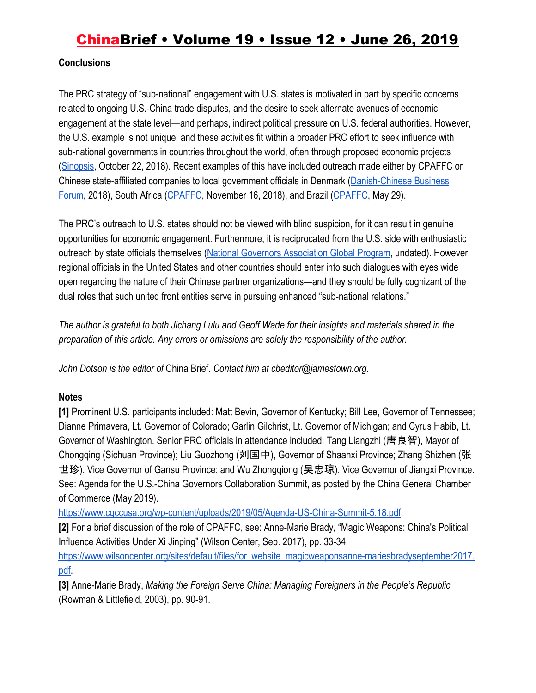#### **Conclusions**

The PRC strategy of "sub-national" engagement with U.S. states is motivated in part by specific concerns related to ongoing U.S.-China trade disputes, and the desire to seek alternate avenues of economic engagement at the state level—and perhaps, indirect political pressure on U.S. federal authorities. However, the U.S. example is not unique, and these activities fit within a broader PRC effort to seek influence with sub-national governments in countries throughout the world, often through proposed economic projects [\(Sinopsis](https://sinopsis.cz/en/confined-discourse-management-and-the-prcs-localised-interactions-in-the-nordics/), October 22, 2018). Recent examples of this have included outreach made either by CPAFFC or Chinese state-affiliated companies to local government officials in Denmark [\(Danish-Chinese Business](https://dcbf.dk/images/PDFs/Programme_Regions_and_Cities_Forum_2018.pdf) [Forum](https://dcbf.dk/images/PDFs/Programme_Regions_and_Cities_Forum_2018.pdf), 2018), South Africa [\(CPAFFC](http://www.cpaffc.org.cn/content/details19-76877.html), November 16, 2018), and Brazil ([CPAFFC](http://www.cpaffc.org.cn/content/details19-79543.html), May 29).

The PRC's outreach to U.S. states should not be viewed with blind suspicion, for it can result in genuine opportunities for economic engagement. Furthermore, it is reciprocated from the U.S. side with enthusiastic outreach by state officials themselves [\(National Governors Association Global Program](https://www.nga.org/about/ngaglobal/), undated). However, regional officials in the United States and other countries should enter into such dialogues with eyes wide open regarding the nature of their Chinese partner organizations—and they should be fully cognizant of the dual roles that such united front entities serve in pursuing enhanced "sub-national relations."

*The author is grateful to both Jichang Lulu and Geoff Wade for their insights and materials shared in the preparation of this article. Any errors or omissions are solely the responsibility of the author.*

*John Dotson is the editor of* China Brief*. Contact him at cbeditor@jamestown.org.*

### **Notes**

**[1]** Prominent U.S. participants included: Matt Bevin, Governor of Kentucky; Bill Lee, Governor of Tennessee; Dianne Primavera, Lt. Governor of Colorado; Garlin Gilchrist, Lt. Governor of Michigan; and Cyrus Habib, Lt. Governor of Washington. Senior PRC officials in attendance included: Tang Liangzhi (唐良智), Mayor of Chongqing (Sichuan Province); Liu Guozhong (刘国中), Governor of Shaanxi Province; Zhang Shizhen (张 世珍), Vice Governor of Gansu Province; and Wu Zhongqiong (吴忠琼), Vice Governor of Jiangxi Province. See: Agenda for the U.S.-China Governors Collaboration Summit, as posted by the China General Chamber of Commerce (May 2019).

<https://www.cgccusa.org/wp-content/uploads/2019/05/Agenda-US-China-Summit-5.18.pdf>.

**[2]** For a brief discussion of the role of CPAFFC, see: Anne-Marie Brady, "Magic Weapons: China's Political Influence Activities Under Xi Jinping" (Wilson Center, Sep. 2017), pp. 33-34.

[https://www.wilsoncenter.org/sites/default/files/for\\_website\\_magicweaponsanne-mariesbradyseptember2017.](https://www.wilsoncenter.org/sites/default/files/for_website_magicweaponsanne-mariesbradyseptember2017.pdf) [pdf.](https://www.wilsoncenter.org/sites/default/files/for_website_magicweaponsanne-mariesbradyseptember2017.pdf)

**[3]** Anne-Marie Brady, *Making the Foreign Serve China: Managing Foreigners in the People's Republic* (Rowman & Littlefield, 2003), pp. 90-91.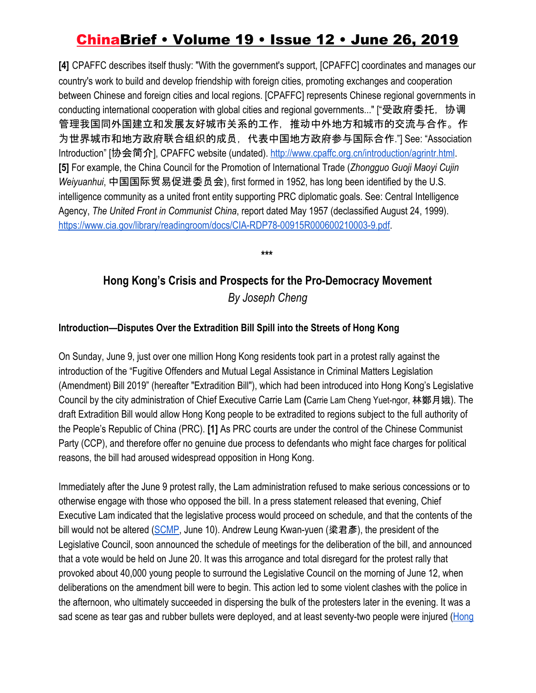**[4]** CPAFFC describes itself thusly: "With the government's support, [CPAFFC] coordinates and manages our country's work to build and develop friendship with foreign cities, promoting exchanges and cooperation between Chinese and foreign cities and local regions. [CPAFFC] represents Chinese regional governments in conducting international cooperation with global cities and regional governments..." ["受政府委托, 协调 管理我国同外国建立和发展友好城市关系的工作,推动中外地方和城市的交流与合作。作 为世界城市和地方政府联合组织的成员,代表中国地方政府参与国际合作."] See: "Association Introduction" [协会简介], CPAFFC website (undated). [http://www.cpaffc.org.cn/introduction/agrintr.html.](http://www.cpaffc.org.cn/introduction/agrintr.html) **[5]** For example, the China Council for the Promotion of International Trade (*Zhongguo Guoji Maoyi Cujin Weiyuanhui*, 中国国际贸易促进委员会), first formed in 1952, has long been identified by the U.S. intelligence community as a united front entity supporting PRC diplomatic goals. See: Central Intelligence Agency, *The United Front in Communist China*, report dated May 1957 (declassified August 24, 1999). [https://www.cia.gov/library/readingroom/docs/CIA-RDP78-00915R000600210003-9.pdf.](https://www.cia.gov/library/readingroom/docs/CIA-RDP78-00915R000600210003-9.pdf)

**\*\*\***

### **Hong Kong's Crisis and Prospects for the Pro-Democracy Movement** *By Joseph Cheng*

### **Introduction—Disputes Over the Extradition Bill Spill into the Streets of Hong Kong**

On Sunday, June 9, just over one million Hong Kong residents took part in a protest rally against the introduction of the "Fugitive Offenders and Mutual Legal Assistance in Criminal Matters Legislation (Amendment) Bill 2019" (hereafter "Extradition Bill"), which had been introduced into Hong Kong's Legislative Council by the city administration of Chief Executive Carrie Lam **(**Carrie Lam Cheng Yuet-ngor, 林鄭月娥). The draft Extradition Bill would allow Hong Kong people to be extradited to regions subject to the full authority of the People's Republic of China (PRC). **[1]** As PRC courts are under the control of the Chinese Communist Party (CCP), and therefore offer no genuine due process to defendants who might face charges for political reasons, the bill had aroused widespread opposition in Hong Kong.

Immediately after the June 9 protest rally, the Lam administration refused to make serious concessions or to otherwise engage with those who opposed the bill. In a press statement released that evening, Chief Executive Lam indicated that the legislative process would proceed on schedule, and that the contents of the bill would not be altered [\(SCMP,](https://www.scmp.com/news/hong-kong/politics/article/3013797/thanks-coming-im-not-changing-my-mind-defiant-carrie-lam) June 10). Andrew Leung Kwan-yuen (梁君彥), the president of the Legislative Council, soon announced the schedule of meetings for the deliberation of the bill, and announced that a vote would be held on June 20. It was this arrogance and total disregard for the protest rally that provoked about 40,000 young people to surround the Legislative Council on the morning of June 12, when deliberations on the amendment bill were to begin. This action led to some violent clashes with the police in the afternoon, who ultimately succeeded in dispersing the bulk of the protesters later in the evening. It was a sad scene as tear gas and rubber bullets were deployed, and at least seventy-two people were injured ([Hong](https://www.hongkongfp.com/2019/06/13/police-protester-standoff-hong-kongs-central-72-injured-clashes-rights-groups-condemn-use-tear-gas/)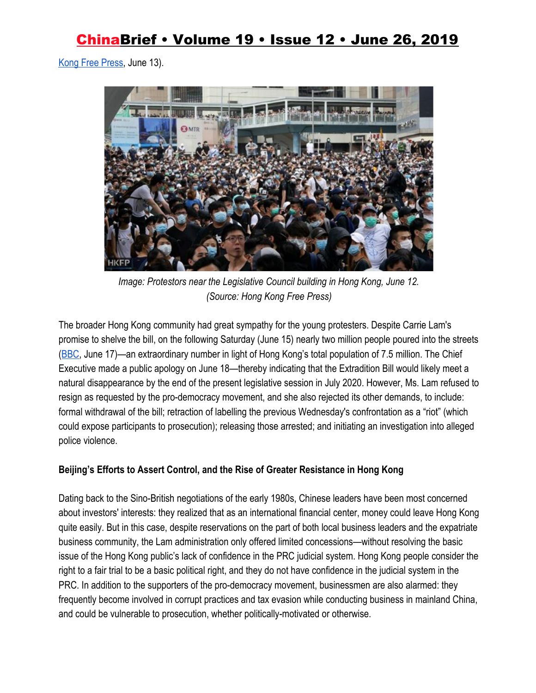[Kong Free Press,](https://www.hongkongfp.com/2019/06/13/police-protester-standoff-hong-kongs-central-72-injured-clashes-rights-groups-condemn-use-tear-gas/) June 13).



*Image: Protestors near the Legislative Council building in Hong Kong, June 12. (Source: Hong Kong Free Press)*

The broader Hong Kong community had great sympathy for the young protesters. Despite Carrie Lam's promise to shelve the bill, on the following Saturday (June 15) nearly two million people poured into the streets [\(BBC,](https://www.bbc.com/news/world-asia-china-48656471) June 17)—an extraordinary number in light of Hong Kong's total population of 7.5 million. The Chief Executive made a public apology on June 18—thereby indicating that the Extradition Bill would likely meet a natural disappearance by the end of the present legislative session in July 2020. However, Ms. Lam refused to resign as requested by the pro-democracy movement, and she also rejected its other demands, to include: formal withdrawal of the bill; retraction of labelling the previous Wednesday's confrontation as a "riot" (which could expose participants to prosecution); releasing those arrested; and initiating an investigation into alleged police violence.

### **Beijing's Efforts to Assert Control, and the Rise of Greater Resistance in Hong Kong**

Dating back to the Sino-British negotiations of the early 1980s, Chinese leaders have been most concerned about investors' interests: they realized that as an international financial center, money could leave Hong Kong quite easily. But in this case, despite reservations on the part of both local business leaders and the expatriate business community, the Lam administration only offered limited concessions—without resolving the basic issue of the Hong Kong public's lack of confidence in the PRC judicial system. Hong Kong people consider the right to a fair trial to be a basic political right, and they do not have confidence in the judicial system in the PRC. In addition to the supporters of the pro-democracy movement, businessmen are also alarmed: they frequently become involved in corrupt practices and tax evasion while conducting business in mainland China, and could be vulnerable to prosecution, whether politically-motivated or otherwise.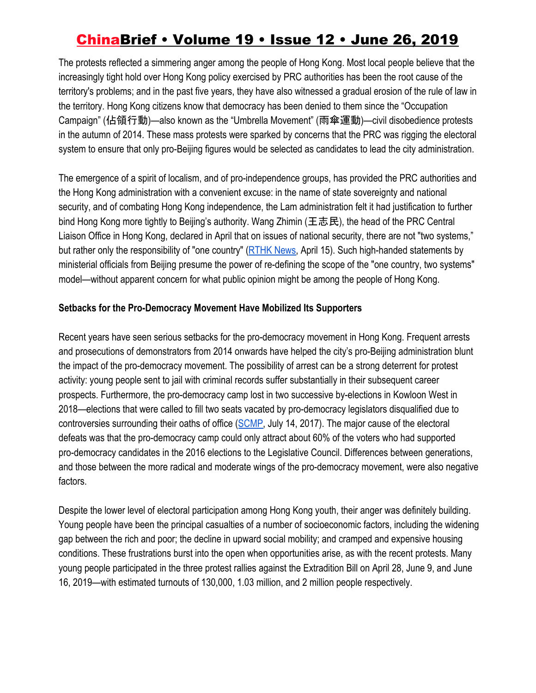The protests reflected a simmering anger among the people of Hong Kong. Most local people believe that the increasingly tight hold over Hong Kong policy exercised by PRC authorities has been the root cause of the territory's problems; and in the past five years, they have also witnessed a gradual erosion of the rule of law in the territory. Hong Kong citizens know that democracy has been denied to them since the "Occupation Campaign" (佔領行動)—also known as the "Umbrella Movement" (雨傘運動)—civil disobedience protests in the autumn of 2014. These mass protests were sparked by concerns that the PRC was rigging the electoral system to ensure that only pro-Beijing figures would be selected as candidates to lead the city administration.

The emergence of a spirit of localism, and of pro-independence groups, has provided the PRC authorities and the Hong Kong administration with a convenient excuse: in the name of state sovereignty and national security, and of combating Hong Kong independence, the Lam administration felt it had justification to further bind Hong Kong more tightly to Beijing's authority. Wang Zhimin (王志民), the head of the PRC Central Liaison Office in Hong Kong, declared in April that on issues of national security, there are not "two systems," but rather only the responsibility of "one country" ([RTHK News](https://news.rthk.hk/rthk/en/component/k2/1452918-20190415.htm), April 15). Such high-handed statements by ministerial officials from Beijing presume the power of re-defining the scope of the "one country, two systems" model—without apparent concern for what public opinion might be among the people of Hong Kong.

#### **Setbacks for the Pro-Democracy Movement Have Mobilized Its Supporters**

Recent years have seen serious setbacks for the pro-democracy movement in Hong Kong. Frequent arrests and prosecutions of demonstrators from 2014 onwards have helped the city's pro-Beijing administration blunt the impact of the pro-democracy movement. The possibility of arrest can be a strong deterrent for protest activity: young people sent to jail with criminal records suffer substantially in their subsequent career prospects. Furthermore, the pro-democracy camp lost in two successive by-elections in Kowloon West in 2018—elections that were called to fill two seats vacated by pro-democracy legislators disqualified due to controversies surrounding their oaths of office [\(SCMP,](https://www.scmp.com/news/hong-kong/politics/article/2102609/four-more-hong-kong-lawmakers-disqualified-over-oath-taking) July 14, 2017). The major cause of the electoral defeats was that the pro-democracy camp could only attract about 60% of the voters who had supported pro-democracy candidates in the 2016 elections to the Legislative Council. Differences between generations, and those between the more radical and moderate wings of the pro-democracy movement, were also negative factors.

Despite the lower level of electoral participation among Hong Kong youth, their anger was definitely building. Young people have been the principal casualties of a number of socioeconomic factors, including the widening gap between the rich and poor; the decline in upward social mobility; and cramped and expensive housing conditions. These frustrations burst into the open when opportunities arise, as with the recent protests. Many young people participated in the three protest rallies against the Extradition Bill on April 28, June 9, and June 16, 2019—with estimated turnouts of 130,000, 1.03 million, and 2 million people respectively.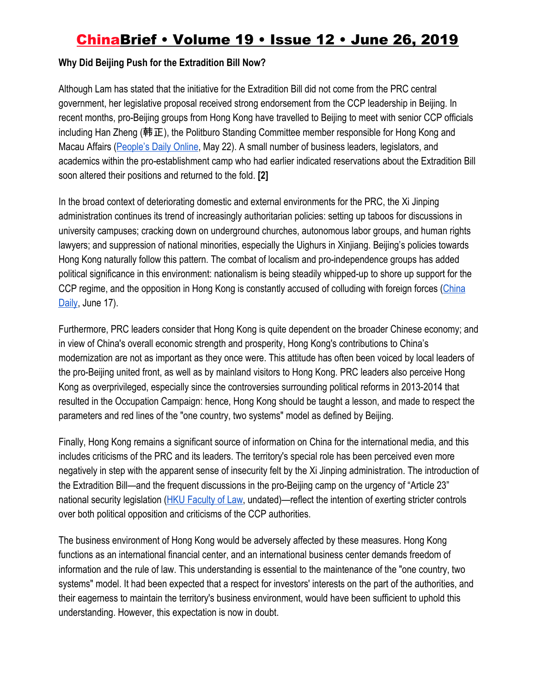#### **Why Did Beijing Push for the Extradition Bill Now?**

Although Lam has stated that the initiative for the Extradition Bill did not come from the PRC central government, her legislative proposal received strong endorsement from the CCP leadership in Beijing. In recent months, pro-Beijing groups from Hong Kong have travelled to Beijing to meet with senior CCP officials including Han Zheng (韩正), the Politburo Standing Committee member responsible for Hong Kong and Macau Affairs ([People's Daily Online](http://cpc.people.com.cn/n1/2019/0522/c64094-31096583.html), May 22). A small number of business leaders, legislators, and academics within the pro-establishment camp who had earlier indicated reservations about the Extradition Bill soon altered their positions and returned to the fold. **[2]**

In the broad context of deteriorating domestic and external environments for the PRC, the Xi Jinping administration continues its trend of increasingly authoritarian policies: setting up taboos for discussions in university campuses; cracking down on underground churches, autonomous labor groups, and human rights lawyers; and suppression of national minorities, especially the Uighurs in Xinjiang. Beijing's policies towards Hong Kong naturally follow this pattern. The combat of localism and pro-independence groups has added political significance in this environment: nationalism is being steadily whipped-up to shore up support for the CCP regime, and the opposition in Hong Kong is constantly accused of colluding with foreign forces [\(China](http://global.chinadaily.com.cn/a/201906/17/WS5d06d79ca3103dbf143287c7.html) [Daily](http://global.chinadaily.com.cn/a/201906/17/WS5d06d79ca3103dbf143287c7.html), June 17).

Furthermore, PRC leaders consider that Hong Kong is quite dependent on the broader Chinese economy; and in view of China's overall economic strength and prosperity, Hong Kong's contributions to China's modernization are not as important as they once were. This attitude has often been voiced by local leaders of the pro-Beijing united front, as well as by mainland visitors to Hong Kong. PRC leaders also perceive Hong Kong as overprivileged, especially since the controversies surrounding political reforms in 2013-2014 that resulted in the Occupation Campaign: hence, Hong Kong should be taught a lesson, and made to respect the parameters and red lines of the "one country, two systems" model as defined by Beijing.

Finally, Hong Kong remains a significant source of information on China for the international media, and this includes criticisms of the PRC and its leaders. The territory's special role has been perceived even more negatively in step with the apparent sense of insecurity felt by the Xi Jinping administration. The introduction of the Extradition Bill—and the frequent discussions in the pro-Beijing camp on the urgency of "Article 23" national security legislation [\(HKU Faculty of Law,](http://www.law.hku.hk/hrportal/basic-law/research-article-23) undated)—reflect the intention of exerting stricter controls over both political opposition and criticisms of the CCP authorities.

The business environment of Hong Kong would be adversely affected by these measures. Hong Kong functions as an international financial center, and an international business center demands freedom of information and the rule of law. This understanding is essential to the maintenance of the "one country, two systems" model. It had been expected that a respect for investors' interests on the part of the authorities, and their eagerness to maintain the territory's business environment, would have been sufficient to uphold this understanding. However, this expectation is now in doubt.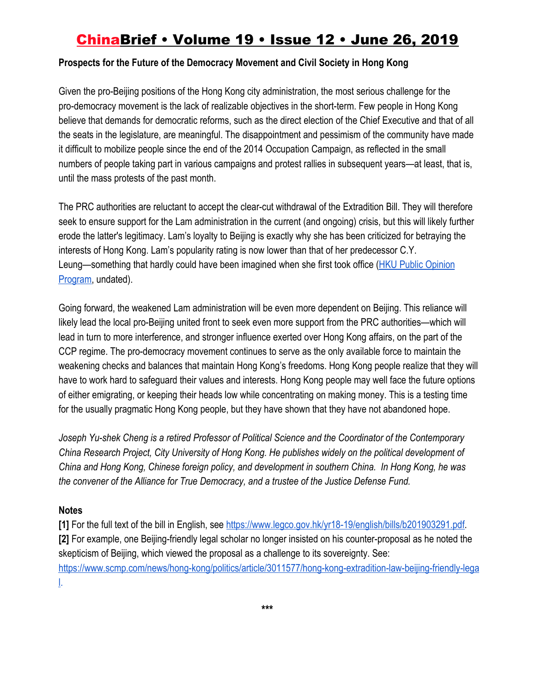#### **Prospects for the Future of the Democracy Movement and Civil Society in Hong Kong**

Given the pro-Beijing positions of the Hong Kong city administration, the most serious challenge for the pro-democracy movement is the lack of realizable objectives in the short-term. Few people in Hong Kong believe that demands for democratic reforms, such as the direct election of the Chief Executive and that of all the seats in the legislature, are meaningful. The disappointment and pessimism of the community have made it difficult to mobilize people since the end of the 2014 Occupation Campaign, as reflected in the small numbers of people taking part in various campaigns and protest rallies in subsequent years—at least, that is, until the mass protests of the past month.

The PRC authorities are reluctant to accept the clear-cut withdrawal of the Extradition Bill. They will therefore seek to ensure support for the Lam administration in the current (and ongoing) crisis, but this will likely further erode the latter's legitimacy. Lam's loyalty to Beijing is exactly why she has been criticized for betraying the interests of Hong Kong. Lam's popularity rating is now lower than that of her predecessor C.Y. Leung—something that hardly could have been imagined when she first took office ([HKU Public Opinion](https://www.hkupop.hku.hk/english/popexpress/ce2017/cl/cecomparison/donald_comparsion_chart.html) [Program,](https://www.hkupop.hku.hk/english/popexpress/ce2017/cl/cecomparison/donald_comparsion_chart.html) undated).

Going forward, the weakened Lam administration will be even more dependent on Beijing. This reliance will likely lead the local pro-Beijing united front to seek even more support from the PRC authorities—which will lead in turn to more interference, and stronger influence exerted over Hong Kong affairs, on the part of the CCP regime. The pro-democracy movement continues to serve as the only available force to maintain the weakening checks and balances that maintain Hong Kong's freedoms. Hong Kong people realize that they will have to work hard to safeguard their values and interests. Hong Kong people may well face the future options of either emigrating, or keeping their heads low while concentrating on making money. This is a testing time for the usually pragmatic Hong Kong people, but they have shown that they have not abandoned hope.

*Joseph Yu-shek Cheng is a retired Professor of Political Science and the Coordinator of the Contemporary China Research Project, City University of Hong Kong. He publishes widely on the political development of China and Hong Kong, Chinese foreign policy, and development in southern China. In Hong Kong, he was the convener of the Alliance for True Democracy, and a trustee of the Justice Defense Fund.*

#### **Notes**

**[1]** For the full text of the bill in English, see [https://www.legco.gov.hk/yr18-19/english/bills/b201903291.pdf.](https://www.legco.gov.hk/yr18-19/english/bills/b201903291.pdf) **[2]** For example, one Beijing-friendly legal scholar no longer insisted on his counter-proposal as he noted the skepticism of Beijing, which viewed the proposal as a challenge to its sovereignty. See: [https://www.scmp.com/news/hong-kong/politics/article/3011577/hong-kong-extradition-law-beijing-friendly-lega](https://www.scmp.com/news/hong-kong/politics/article/3011577/hong-kong-extradition-law-beijing-friendly-legal) [l.](https://www.scmp.com/news/hong-kong/politics/article/3011577/hong-kong-extradition-law-beijing-friendly-legal)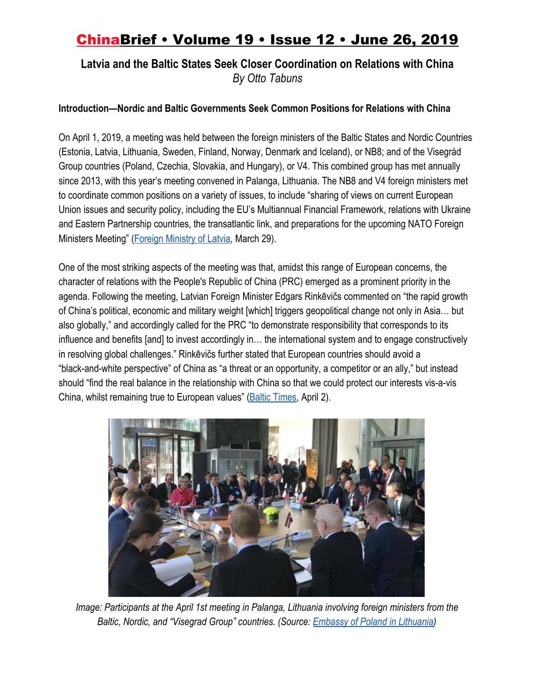### **Latvia and the Baltic States Seek Closer Coordination on Relations with China** *By Otto Tabuns*

#### **Introduction—Nordic and Baltic Governments Seek Common Positions for Relations with China**

On April 1, 2019, a meeting was held between the foreign ministers of the Baltic States and Nordic Countries (Estonia, Latvia, Lithuania, Sweden, Finland, Norway, Denmark and Iceland), or NB8; and of the Visegrád Group countries (Poland, Czechia, Slovakia, and Hungary), or V4. This combined group has met annually since 2013, with this year's meeting convened in Palanga, Lithuania. The NB8 and V4 foreign ministers met to coordinate common positions on a variety of issues, to include "sharing of views on current European Union issues and security policy, including the EU's Multiannual Financial Framework, relations with Ukraine and Eastern Partnership countries, the transatlantic link, and preparations for the upcoming NATO Foreign Ministers Meeting" ([Foreign Ministry of Latvia](https://www.mfa.gov.lv/en/news/latest-news/63004-the-foreign-minister-to-take-part-in-the-meeting-of-foreign-ministers-of-the-baltic-nordic-and-visegrad-group-countries), March 29).

One of the most striking aspects of the meeting was that, amidst this range of European concerns, the character of relations with the People's Republic of China (PRC) emerged as a prominent priority in the agenda. Following the meeting, Latvian Foreign Minister Edgars Rinkēvičs commented on "the rapid growth of China's political, economic and military weight [which] triggers geopolitical change not only in Asia… but also globally," and accordingly called for the PRC "to demonstrate responsibility that corresponds to its influence and benefits [and] to invest accordingly in… the international system and to engage constructively in resolving global challenges." Rinkēvičs further stated that European countries should avoid a "black-and-white perspective" of China as "a threat or an opportunity, a competitor or an ally," but instead should "find the real balance in the relationship with China so that we could protect our interests vis-a-vis China, whilst remaining true to European values" (**Baltic Times**, April 2).



*Image: Participants at the April 1st meeting in Palanga, Lithuania involving foreign ministers from the Baltic, Nordic, and "Visegrad Group" countries. (Source: [Embassy of Poland in Lithuania](https://www.msz.gov.pl/en/p/wilno_lt_a_en/news/deputy_minister_maciej_lang_attends_meeting_of_chiefs_of_diplomacy_of_v4__nordic_and_baltic_countries_in_lithuanian_palanga))*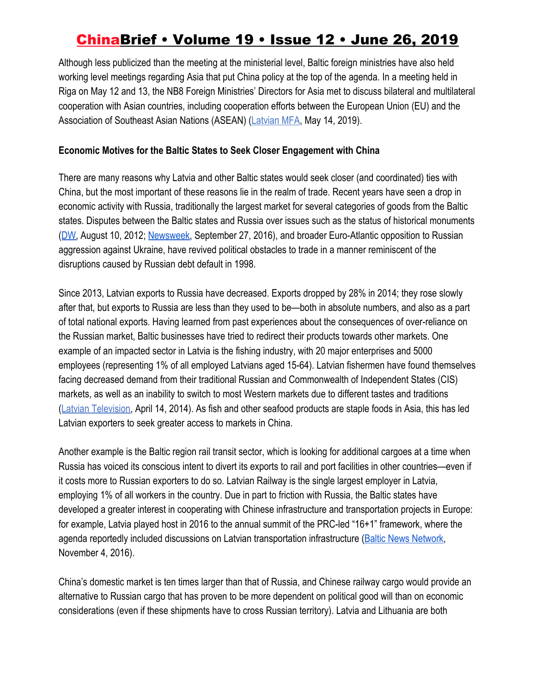Although less publicized than the meeting at the ministerial level, Baltic foreign ministries have also held working level meetings regarding Asia that put China policy at the top of the agenda. In a meeting held in Riga on May 12 and 13, the NB8 Foreign Ministries' Directors for Asia met to discuss bilateral and multilateral cooperation with Asian countries, including cooperation efforts between the European Union (EU) and the Association of Southeast Asian Nations (ASEAN) [\(Latvian MFA,](https://www.mfa.gov.lv/aktualitates/zinas/63390-baltijas-un-ziemelvalstu-arlietu-ministriju-azijas-direktori-tiekas-riga) May 14, 2019).

#### **Economic Motives for the Baltic States to Seek Closer Engagement with China**

There are many reasons why Latvia and other Baltic states would seek closer (and coordinated) ties with China, but the most important of these reasons lie in the realm of trade. Recent years have seen a drop in economic activity with Russia, traditionally the largest market for several categories of goods from the Baltic states. Disputes between the Baltic states and Russia over issues such as the status of historical monuments [\(DW,](https://www.dw.com/en/history-fuels-latvian-russian-resentment/a-16292586) August 10, 2012; [Newsweek,](https://www.newsweek.com/latvia-takes-down-soviet-sailor-monuments-public-safety-risk-503301) September 27, 2016), and broader Euro-Atlantic opposition to Russian aggression against Ukraine, have revived political obstacles to trade in a manner reminiscent of the disruptions caused by Russian debt default in 1998.

Since 2013, Latvian exports to Russia have decreased. Exports dropped by 28% in 2014; they rose slowly after that, but exports to Russia are less than they used to be—both in absolute numbers, and also as a part of total national exports. Having learned from past experiences about the consequences of over-reliance on the Russian market, Baltic businesses have tried to redirect their products towards other markets. One example of an impacted sector in Latvia is the fishing industry, with 20 major enterprises and 5000 employees (representing 1% of all employed Latvians aged 15-64). Latvian fishermen have found themselves facing decreased demand from their traditional Russian and Commonwealth of Independent States (CIS) markets, as well as an inability to switch to most Western markets due to different tastes and traditions [\(Latvian Television](https://www.youtube.com/watch?v=eQFycra6Mqk), April 14, 2014). As fish and other seafood products are staple foods in Asia, this has led Latvian exporters to seek greater access to markets in China.

Another example is the Baltic region rail transit sector, which is looking for additional cargoes at a time when Russia has voiced its conscious intent to divert its exports to rail and port facilities in other countries—even if it costs more to Russian exporters to do so. Latvian Railway is the single largest employer in Latvia, employing 1% of all workers in the country. Due in part to friction with Russia, the Baltic states have developed a greater interest in cooperating with Chinese infrastructure and transportation projects in Europe: for example, Latvia played host in 2016 to the annual summit of the PRC-led "16+1" framework, where the agenda reportedly included discussions on Latvian transportation infrastructure [\(Baltic News Network,](https://bnn-news.com/head-of-china-s-government-arrives-in-riga-for-16-1-summit-154155) November 4, 2016).

China's domestic market is ten times larger than that of Russia, and Chinese railway cargo would provide an alternative to Russian cargo that has proven to be more dependent on political good will than on economic considerations (even if these shipments have to cross Russian territory). Latvia and Lithuania are both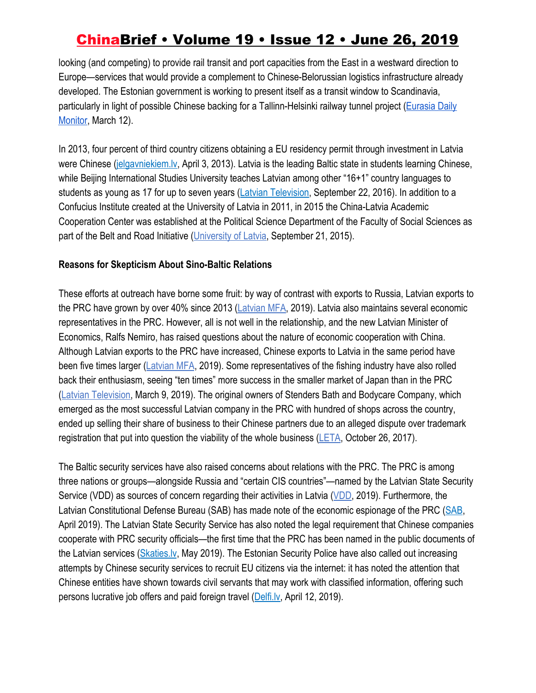looking (and competing) to provide rail transit and port capacities from the East in a westward direction to Europe—services that would provide a complement to Chinese-Belorussian logistics infrastructure already developed. The Estonian government is working to present itself as a transit window to Scandinavia, particularly in light of possible Chinese backing for a Tallinn-Helsinki railway tunnel project ([Eurasia Daily](https://jamestown.org/program/beijing-reportedly-ready-to-finance-helsinki-tallinn-tunnel/) [Monitor,](https://jamestown.org/program/beijing-reportedly-ready-to-finance-helsinki-tallinn-tunnel/) March 12).

In 2013, four percent of third country citizens obtaining a EU residency permit through investment in Latvia were Chinese ([jelgavniekiem.lv](http://www.jelgavniekiem.lv/?l=155&act=4&art=29176), April 3, 2013). Latvia is the leading Baltic state in students learning Chinese, while Beijing International Studies University teaches Latvian among other "16+1" country languages to students as young as 17 for up to seven years [\(Latvian Television](https://www.youtube.com/watch?v=ShSUVle2tDU), September 22, 2016). In addition to a Confucius Institute created at the University of Latvia in 2011, in 2015 the China-Latvia Academic Cooperation Center was established at the Political Science Department of the Faculty of Social Sciences as part of the Belt and Road Initiative [\(University of Latvia](https://www.mfa.gov.lv/china/aktualitates/47965-atklaj-kinas-latvijas-akademiskas-sadarbibas-centru), September 21, 2015).

#### **Reasons for Skepticism About Sino-Baltic Relations**

These efforts at outreach have borne some fruit: by way of contrast with exports to Russia, Latvian exports to the PRC have grown by over 40% since 2013 ([Latvian MFA,](https://www.mfa.gov.lv/index.php?option=com_content&view=article&id=18091&Itemid=3371#eknomika) 2019). Latvia also maintains several economic representatives in the PRC. However, all is not well in the relationship, and the new Latvian Minister of Economics, Ralfs Nemiro, has raised questions about the nature of economic cooperation with China. Although Latvian exports to the PRC have increased, Chinese exports to Latvia in the same period have been five times larger [\(Latvian MFA](https://www.mfa.gov.lv/index.php?option=com_content&view=article&id=18091&Itemid=3371#eknomika), 2019). Some representatives of the fishing industry have also rolled back their enthusiasm, seeing "ten times" more success in the smaller market of Japan than in the PRC [\(Latvian Television](https://www.lsm.lv/raksts/zinas/ekonomika/vai-sapnis-par-eksportu-uz-kinu-ir-izsapnots.a312189/), March 9, 2019). The original owners of Stenders Bath and Bodycare Company, which emerged as the most successful Latvian company in the PRC with hundred of shops across the country, ended up selling their share of business to their Chinese partners due to an alleged dispute over trademark registration that put into question the viability of the whole business [\(LETA](http://monitorings.leta.lv/pdf/PAED43843-D092-4467-B60F-2F889344721E/), October 26, 2017).

The Baltic security services have also raised concerns about relations with the PRC. The PRC is among three nations or groups—alongside Russia and "certain CIS countries"—named by the Latvian State Security Service (VDD) as sources of concern regarding their activities in Latvia ([VDD,](https://vdd.gov.lv/lv/?rt=documents&ac=download&id=42) 2019). Furthermore, the Latvian Constitutional Defense Bureau (SAB) has made note of the economic espionage of the PRC ([SAB,](http://www.sab.gov.lv/files/2018_parskats.pdf) April 2019). The Latvian State Security Service has also noted the legal requirement that Chinese companies cooperate with PRC security officials—the first time that the PRC has been named in the public documents of the Latvian services ([Skaties.lv](https://skaties.lv/zinas/latvija/sab-nedraudzigi-specdienesti-detalizeti-peta-socialo-tiklu-informaciju/?fbclid=IwAR2KMV83QMqo36nD5RCcW5_dableS4kSUt67nD-GcjJ9F_fHIk7XPC2DY7g), May 2019). The Estonian Security Police have also called out increasing attempts by Chinese security services to recruit EU citizens via the internet: it has noted the attention that Chinese entities have shown towards civil servants that may work with classified information, offering such persons lucrative job offers and paid foreign travel ([Delfi.lv](https://www.delfi.lv/news/arzemes/igaunija-bridina-par-kinas-izlukdienestu-vervesanu-un-krievijas-interesi-par-wifi.d?id=50992675), April 12, 2019).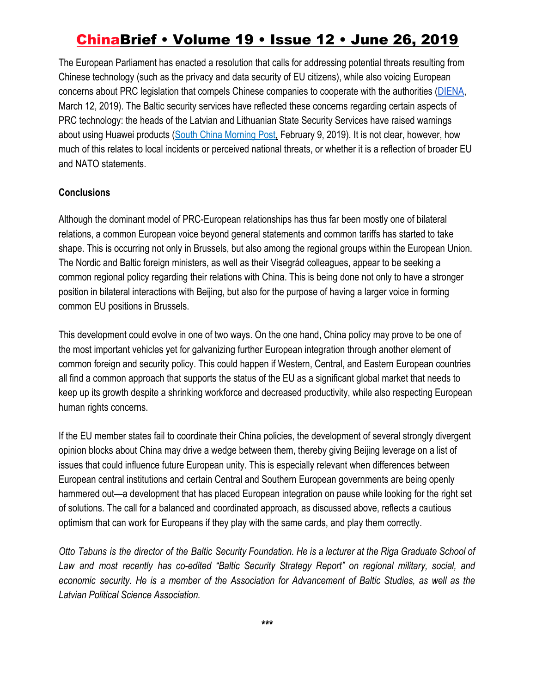The European Parliament has enacted a resolution that calls for addressing potential threats resulting from Chinese technology (such as the privacy and data security of EU citizens), while also voicing European concerns about PRC legislation that compels Chinese companies to cooperate with the authorities [\(DIENA](https://www.diena.lv/raksts/pasaule/eiropa/ep-mudina-versties-pret-kinas-raditajiem-kiberdraudiem-14216048%20), March 12, 2019). The Baltic security services have reflected these concerns regarding certain aspects of PRC technology: the heads of the Latvian and Lithuanian State Security Services have raised warnings about using Huawei products ([South China Morning Post,](https://www.scmp.com/news/china/diplomacy/article/2185529/china-denies-ridiculous-spying-allegations-lithuania) February 9, 2019). It is not clear, however, how much of this relates to local incidents or perceived national threats, or whether it is a reflection of broader EU and NATO statements.

#### **Conclusions**

Although the dominant model of PRC-European relationships has thus far been mostly one of bilateral relations, a common European voice beyond general statements and common tariffs has started to take shape. This is occurring not only in Brussels, but also among the regional groups within the European Union. The Nordic and Baltic foreign ministers, as well as their Visegrád colleagues, appear to be seeking a common regional policy regarding their relations with China. This is being done not only to have a stronger position in bilateral interactions with Beijing, but also for the purpose of having a larger voice in forming common EU positions in Brussels.

This development could evolve in one of two ways. On the one hand, China policy may prove to be one of the most important vehicles yet for galvanizing further European integration through another element of common foreign and security policy. This could happen if Western, Central, and Eastern European countries all find a common approach that supports the status of the EU as a significant global market that needs to keep up its growth despite a shrinking workforce and decreased productivity, while also respecting European human rights concerns.

If the EU member states fail to coordinate their China policies, the development of several strongly divergent opinion blocks about China may drive a wedge between them, thereby giving Beijing leverage on a list of issues that could influence future European unity. This is especially relevant when differences between European central institutions and certain Central and Southern European governments are being openly hammered out—a development that has placed European integration on pause while looking for the right set of solutions. The call for a balanced and coordinated approach, as discussed above, reflects a cautious optimism that can work for Europeans if they play with the same cards, and play them correctly.

Otto Tabuns is the director of the Baltic Security Foundation. He is a lecturer at the Riga Graduate School of *Law and most recently has co-edited "Baltic Security Strategy Report" on regional military, social, and* economic security. He is a member of the Association for Advancement of Baltic Studies, as well as the *Latvian Political Science Association.*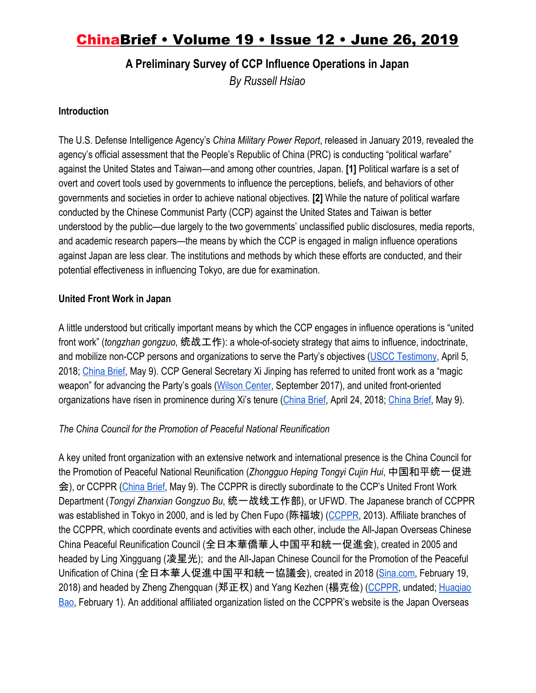**A Preliminary Survey of CCP Influence Operations in Japan**

*By Russell Hsiao*

#### **Introduction**

The U.S. Defense Intelligence Agency's *China Military Power Report*, released in January 2019, revealed the agency's official assessment that the People's Republic of China (PRC) is conducting "political warfare" against the United States and Taiwan—and among other countries, Japan. **[1]** Political warfare is a set of overt and covert tools used by governments to influence the perceptions, beliefs, and behaviors of other governments and societies in order to achieve national objectives. **[2]** While the nature of political warfare conducted by the Chinese Communist Party (CCP) against the United States and Taiwan is better understood by the public—due largely to the two governments' unclassified public disclosures, media reports, and academic research papers—the means by which the CCP is engaged in malign influence operations against Japan are less clear. The institutions and methods by which these efforts are conducted, and their potential effectiveness in influencing Tokyo, are due for examination.

### **United Front Work in Japan**

A little understood but critically important means by which the CCP engages in influence operations is "united front work" (*tongzhan gongzuo*, 统战工作): a whole-of-society strategy that aims to influence, indoctrinate, and mobilize non-CCP persons and organizations to serve the Party's objectives ([USCC Testimony](https://www.uscc.gov/sites/default/files/Hsiao%20-Written%20Statement.pdf), April 5, 2018; [China Brief](https://jamestown.org/program/on-the-correct-use-of-terms-for-understanding-united-front-work/), May 9). CCP General Secretary Xi Jinping has referred to united front work as a "magic weapon" for advancing the Party's goals ([Wilson Center,](https://www.wilsoncenter.org/article/magic-weapons-chinas-political-influence-activities-under-xi-jinping) September 2017), and united front-oriented organizations have risen in prominence during Xi's tenure [\(China Brief](https://jamestown.org/program/the-rise-and-rise-of-the-united-front-work-department-under-xi/), April 24, 2018[;](https://jamestown.org/program/reorganizing-the-united-front-work-department-new-structures-for-a-new-era-of-diaspora-and-religious-affairs-work/) [China Brief,](https://jamestown.org/program/reorganizing-the-united-front-work-department-new-structures-for-a-new-era-of-diaspora-and-religious-affairs-work/) May 9).

### *The China Council for the Promotion of Peaceful National Reunification*

A key united front organization with an extensive network and international presence is the China Council for the Promotion of Peaceful National Reunification (*Zhongguo Heping Tongyi Cujin Hui*, 中国和平统一促进 会), or CCPPR ([China Brief](https://jamestown.org/program/the-united-front-work-department-goes-global-the-worldwide-expansion-of-the-council-for-the-promotion-of-the-peaceful-reunification-of-china/), May 9). The CCPPR is directly subordinate to the CCP's United Front Work Department (*Tongyi Zhanxian Gongzuo Bu*, 统一战线工作部), or UFWD. The Japanese branch of CCPPR was established in Tokyo in 2000, and is led by Chen Fupo (陈福坡) ([CCPPR,](http://www.zhongguotongcuhui.org.cn/hnwtch/yz/rb/rbtch/201310/t20131018_5055800.html) 2013). Affiliate branches of the CCPPR, which coordinate events and activities with each other, include the All-Japan Overseas Chinese China Peaceful Reunification Council (全日本華僑華人中国平和統一促進会), created in 2005 and headed by Ling Xingguang (凌星光); and the All-Japan Chinese Council for the Promotion of the Peaceful Unification of China (全日本華人促進中国平和統一協議会), created in 2018 ([Sina.com,](http://news.sina.com.cn/w/zx/2018-02-19/doc-ifyrrmye2715205.shtml) February 19, 2018) and headed by Zheng Zhengquan (郑正权) and Yang Kezhen (楊克俭) ([CCPPR](http://www.zhongguotongcuhui.org.cn/hnwtch/yz/rb/qrbtcxyh/), undated; [Huaqiao](http://blog.livedoor.jp/cpiblog00402/archives/51764795.html) [Bao,](http://blog.livedoor.jp/cpiblog00402/archives/51764795.html) February 1). An additional affiliated organization listed on the CCPPR's website is the Japan Overseas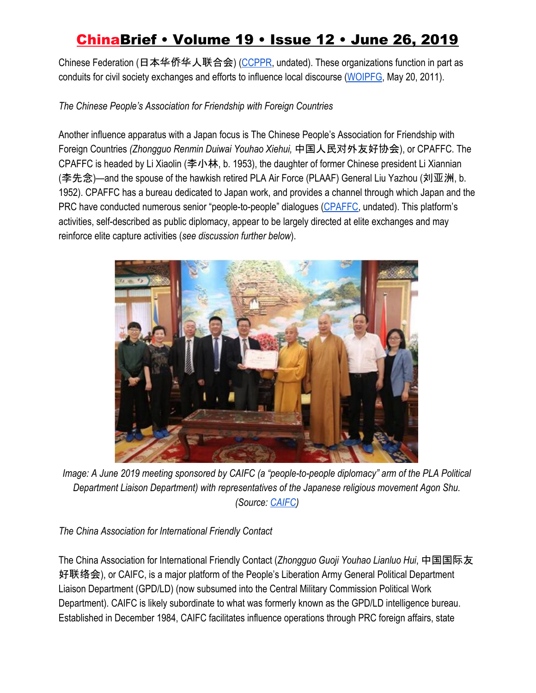Chinese Federation (日本华侨华人联合会) [\(CCPPR](http://www.zhongguotongcuhui.org.cn/hnwtch/yz/rb/rbhqlhh/), undated). These organizations function in part as conduits for civil society exchanges and efforts to influence local discourse ([WOIPFG](http://www.upholdjustice.org/node/211), May 20, 2011).

*The Chinese People's Association for Friendship with Foreign Countries*

Another influence apparatus with a Japan focus is The Chinese People's Association for Friendship with Foreign Countries *(Zhongguo Renmin Duiwai Youhao Xiehui,* 中国人民对外友好协会), or CPAFFC. The CPAFFC is headed by Li Xiaolin (李小林, b. 1953), the daughter of former Chinese president Li Xiannian (李先念)—and the spouse of the hawkish retired PLA Air Force (PLAAF) General Liu Yazhou (刘亚洲, b. 1952). CPAFFC has a bureau dedicated to Japan work, and provides a channel through which Japan and the PRC have conducted numerous senior "people-to-people" dialogues ([CPAFFC,](http://www.cpaffc.org.cn/content/details10-635.html) undated). This platform's activities, self-described as public diplomacy, appear to be largely directed at elite exchanges and may reinforce elite capture activities (*see discussion further below*).



*Image: A June 2019 meeting sponsored by CAIFC (a "people-to-people diplomacy" arm of the PLA Political Department Liaison Department) with representatives of the Japanese religious movement Agon Shu. (Source: [CAIFC](http://www.caifc.org.cn/content.aspx?id=4577))*

*The China Association for International Friendly Contact*

The China Association for International Friendly Contact (*Zhongguo Guoji Youhao Lianluo Hui*, 中国国际友 好联络会), or CAIFC, is a major platform of the People's Liberation Army General Political Department Liaison Department (GPD/LD) (now subsumed into the Central Military Commission Political Work Department). CAIFC is likely subordinate to what was formerly known as the GPD/LD intelligence bureau. Established in December 1984, CAIFC facilitates influence operations through PRC foreign affairs, state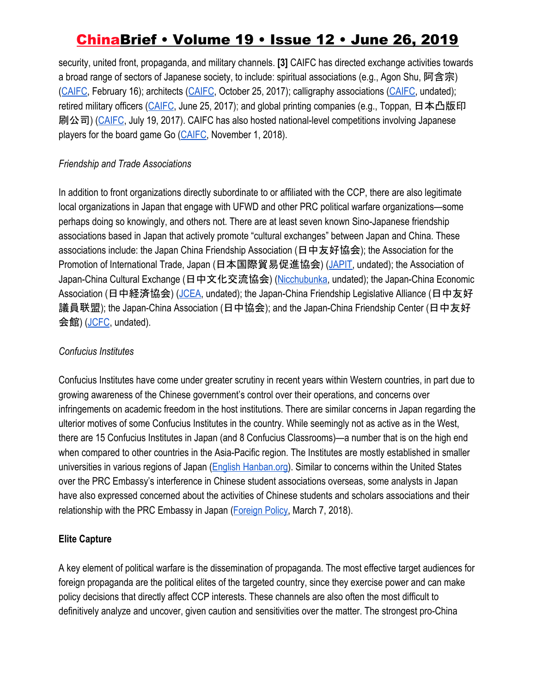security, united front, propaganda, and military channels. **[3]** CAIFC has directed exchange activities towards a broad range of sectors of Japanese society, to include: spiritual associations (e.g., Agon Shu, 阿含宗) [\(CAIFC,](http://www.caifc.org.cn/content.aspx?id=4577) February 16); architects [\(CAIFC](http://www.caifc.org.cn/content.aspx?id=4463), October 25, 2017); calligraphy associations ([CAIFC,](http://www.caifc.org.cn/) undated); retired military officers ([CAIFC,](http://www.caifc.org.cn/content.aspx?id=4444) June 25, 2017); and global printing companies (e.g., Toppan, 日本凸版印 刷公司) [\(CAIFC,](http://www.caifc.org.cn/content.aspx?id=4448) July 19, 2017). CAIFC has also hosted national-level competitions involving Japanese players for the board game Go [\(CAIFC](http://www.caifc.org.cn/content.aspx?id=4539), November 1, 2018).

#### *Friendship and Trade Associations*

In addition to front organizations directly subordinate to or affiliated with the CCP, there are also legitimate local organizations in Japan that engage with UFWD and other PRC political warfare organizations—some perhaps doing so knowingly, and others not. There are at least seven known Sino-Japanese friendship associations based in Japan that actively promote "cultural exchanges" between Japan and China. These associations include: the Japan China Friendship Association (日中友好協会); the Association for the Promotion of International Trade, Japan (日本国際貿易促進協会) ([JAPIT,](http://www.japitcn.com/top.htm) undated); the Association of Japan-China Cultural Exchange (日中文化交流協会) [\(Nicchubunka](http://www.nicchubunka1956.jp/), undated); the Japan-China Economic Association (日中経済協会) ([JCEA,](https://www.jc-web.or.jp/) undated); the Japan-China Friendship Legislative Alliance (日中友好 議員联盟); the Japan-China Association (日中協会); and the Japan-China Friendship Center (日中友好 会館) [\(JCFC](http://www.jcfc.or.jp/), undated).

### *Confucius Institutes*

Confucius Institutes have come under greater scrutiny in recent years within Western countries, in part due to growing awareness of the Chinese government's control over their operations, and concerns over infringements on academic freedom in the host institutions. There are similar concerns in Japan regarding the ulterior motives of some Confucius Institutes in the country. While seemingly not as active as in the West, there are 15 Confucius Institutes in Japan (and 8 Confucius Classrooms)—a number that is on the high end when compared to other countries in the Asia-Pacific region. The Institutes are mostly established in smaller universities in various regions of Japan [\(English Hanban.org](http://english.hanban.org/node_10971.htm)). Similar to concerns within the United States over the PRC Embassy's interference in Chinese student associations overseas, some analysts in Japan have also expressed concerned about the activities of Chinese students and scholars associations and their relationship with the PRC Embassy in Japan ([Foreign Policy,](https://foreignpolicy.com/2018/03/07/chinas-long-arm-reaches-into-american-campuses-chinese-students-scholars-association-university-communist-party/) March 7, 2018).

### **Elite Capture**

A key element of political warfare is the dissemination of propaganda. The most effective target audiences for foreign propaganda are the political elites of the targeted country, since they exercise power and can make policy decisions that directly affect CCP interests. These channels are also often the most difficult to definitively analyze and uncover, given caution and sensitivities over the matter. The strongest pro-China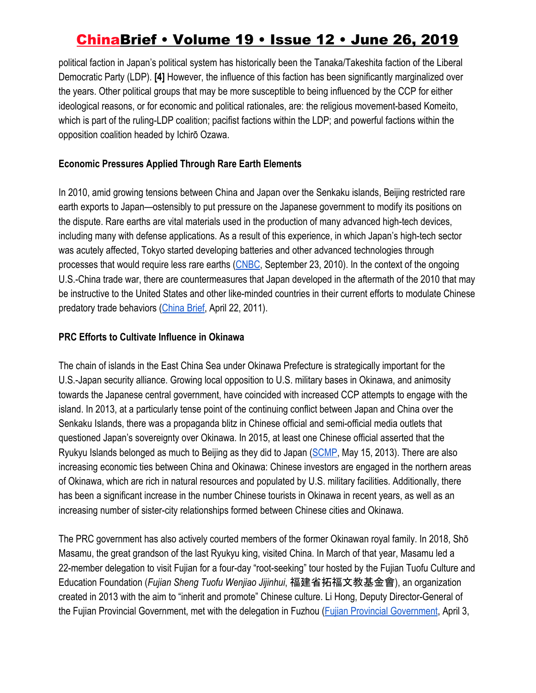political faction in Japan's political system has historically been the Tanaka/Takeshita faction of the Liberal Democratic Party (LDP). **[4]** However, the influence of this faction has been significantly marginalized over the years. Other political groups that may be more susceptible to being influenced by the CCP for either ideological reasons, or for economic and political rationales, are: the religious movement-based Komeito, which is part of the ruling-LDP coalition; pacifist factions within the LDP; and powerful factions within the opposition coalition headed by Ichirō Ozawa.

### **Economic Pressures Applied Through Rare Earth Elements**

In 2010, amid growing tensions between China and Japan over the Senkaku islands, Beijing restricted rare earth exports to Japan—ostensibly to put pressure on the Japanese government to modify its positions on the dispute. Rare earths are vital materials used in the production of many advanced high-tech devices, including many with defense applications. As a result of this experience, in which Japan's high-tech sector was acutely affected, Tokyo started developing batteries and other advanced technologies through processes that would require less rare earths [\(CNBC](https://www.cnbc.com/id/39318826), September 23, 2010). In the context of the ongoing U.S.-China trade war, there are countermeasures that Japan developed in the aftermath of the 2010 that may be instructive to the United States and other like-minded countries in their current efforts to modulate Chinese predatory trade behaviors [\(China Brief,](https://jamestown.org/program/japans-approach-to-chinas-control-of-rare-earth-elements/) April 22, 2011).

#### **PRC Efforts to Cultivate Influence in Okinawa**

The chain of islands in the East China Sea under Okinawa Prefecture is strategically important for the U.S.-Japan security alliance. Growing local opposition to U.S. military bases in Okinawa, and animosity towards the Japanese central government, have coincided with increased CCP attempts to engage with the island. In 2013, at a particularly tense point of the continuing conflict between Japan and China over the Senkaku Islands, there was a propaganda blitz in Chinese official and semi-official media outlets that questioned Japan's sovereignty over Okinawa. In 2015, at least one Chinese official asserted that the Ryukyu Islands belonged as much to Beijing as they did to Japan ([SCMP,](https://www.scmp.com/news/china/article/1238080/okinawa-doesnt-belong-japan-says-hawkish-pla-general) May 15, 2013). There are also increasing economic ties between China and Okinawa: Chinese investors are engaged in the northern areas of Okinawa, which are rich in natural resources and populated by U.S. military facilities. Additionally, there has been a significant increase in the number Chinese tourists in Okinawa in recent years, as well as an increasing number of sister-city relationships formed between Chinese cities and Okinawa.

The PRC government has also actively courted members of the former Okinawan royal family. In 2018, Shō Masamu, the great grandson of the last Ryukyu king, visited China. In March of that year, Masamu led a 22-member delegation to visit Fujian for a four-day "root-seeking" tour hosted by the Fujian Tuofu Culture and Education Foundation (*Fujian Sheng Tuofu Wenjiao Jijinhui*, 福建省拓福文教基金會), an organization created in 2013 with the aim to "inherit and promote" Chinese culture. Li Hong, Deputy Director-General of the Fujian Provincial Government, met with the delegation in Fuzhou [\(Fujian Provincial Government](https://www.fujian.gov.cn/english/FujianInfo/FujianNews/201812/t20181213_4699318.htm), April 3,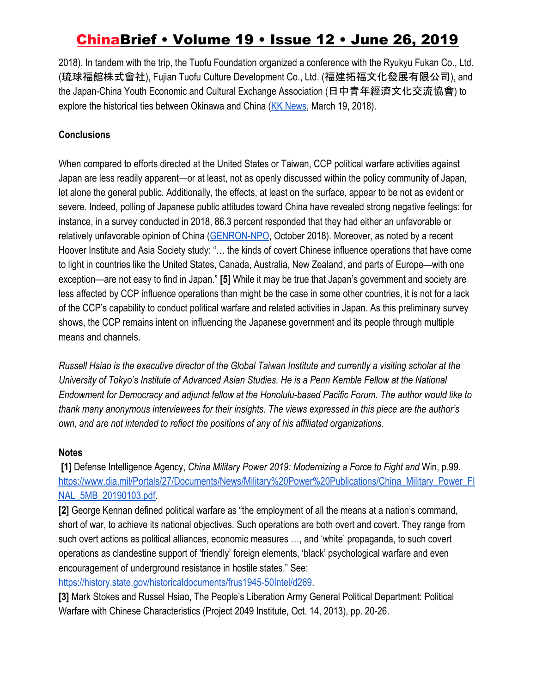2018). In tandem with the trip, the Tuofu Foundation organized a conference with the Ryukyu Fukan Co., Ltd. (琉球福館株式會社), Fujian Tuofu Culture Development Co., Ltd. (福建拓福文化發展有限公司), and the Japan-China Youth Economic and Cultural Exchange Association (日中青年經濟文化交流協會) to explore the historical ties between Okinawa and China ([KK News](https://kknews.cc/news/jj88g6y.html), March 19, 2018).

### **Conclusions**

When compared to efforts directed at the United States or Taiwan, CCP political warfare activities against Japan are less readily apparent—or at least, not as openly discussed within the policy community of Japan, let alone the general public. Additionally, the effects, at least on the surface, appear to be not as evident or severe. Indeed, polling of Japanese public attitudes toward China have revealed strong negative feelings: for instance, in a survey conducted in 2018, 86.3 percent responded that they had either an unfavorable or relatively unfavorable opinion of China ([GENRON-NPO,](http://www.genron-npo.net/en/archives/181011.pdf) October 2018). Moreover, as noted by a recent Hoover Institute and Asia Society study: "… the kinds of covert Chinese influence operations that have come to light in countries like the United States, Canada, Australia, New Zealand, and parts of Europe—with one exception—are not easy to find in Japan." **[5]** While it may be true that Japan's government and society are less affected by CCP influence operations than might be the case in some other countries, it is not for a lack of the CCP's capability to conduct political warfare and related activities in Japan. As this preliminary survey shows, the CCP remains intent on influencing the Japanese government and its people through multiple means and channels.

*Russell Hsiao is the executive director of the Global Taiwan Institute and currently a visiting scholar at the University of Tokyo's Institute of Advanced Asian Studies. He is a Penn Kemble Fellow at the National Endowment for Democracy and adjunct fellow at the Honolulu-based Pacific Forum. The author would like to thank many anonymous interviewees for their insights. The views expressed in this piece are the author's own, and are not intended to reflect the positions of any of his affiliated organizations.*

### **Notes**

 **[1]** Defense Intelligence Agency, *China Military Power 2019: Modernizing a Force to Fight and* Win, p.99. [https://www.dia.mil/Portals/27/Documents/News/Military%20Power%20Publications/China\\_Military\\_Power\\_FI](https://www.dia.mil/Portals/27/Documents/News/Military%20Power%20Publications/China_Military_Power_FINAL_5MB_20190103.pdf) [NAL\\_5MB\\_20190103.pdf.](https://www.dia.mil/Portals/27/Documents/News/Military%20Power%20Publications/China_Military_Power_FINAL_5MB_20190103.pdf)

**[2]** George Kennan defined political warfare as "the employment of all the means at a nation's command, short of war, to achieve its national objectives. Such operations are both overt and covert. They range from such overt actions as political alliances, economic measures …, and 'white' propaganda, to such covert operations as clandestine support of 'friendly' foreign elements, 'black' psychological warfare and even encouragement of underground resistance in hostile states." See:

<https://history.state.gov/historicaldocuments/frus1945-50Intel/d269>.

**[3]** Mark Stokes and Russel Hsiao, The People's Liberation Army General Political Department: Political Warfare with Chinese Characteristics (Project 2049 Institute, Oct. 14, 2013), pp. 20-26.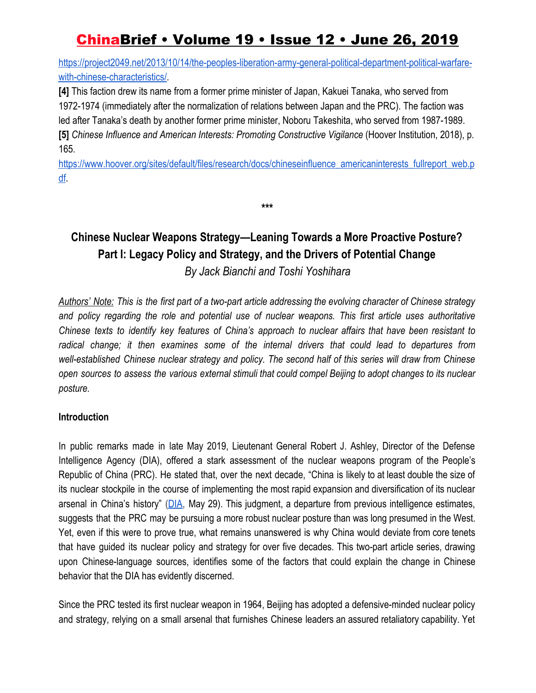[https://project2049.net/2013/10/14/the-peoples-liberation-army-general-political-department-political-warfare](https://project2049.net/2013/10/14/the-peoples-liberation-army-general-political-department-political-warfare-with-chinese-characteristics/)[with-chinese-characteristics/](https://project2049.net/2013/10/14/the-peoples-liberation-army-general-political-department-political-warfare-with-chinese-characteristics/).

**[4]** This faction drew its name from a former prime minister of Japan, Kakuei Tanaka, who served from 1972-1974 (immediately after the normalization of relations between Japan and the PRC). The faction was led after Tanaka's death by another former prime minister, Noboru Takeshita, who served from 1987-1989. **[5]** *Chinese Influence and American Interests: Promoting Constructive Vigilance* (Hoover Institution, 2018), p. 165[.](https://www.hoover.org/sites/default/files/research/docs/chineseinfluence_americaninterests_fullreport_web.pdf)

[https://www.hoover.org/sites/default/files/research/docs/chineseinfluence\\_americaninterests\\_fullreport\\_web.p](https://www.hoover.org/sites/default/files/research/docs/chineseinfluence_americaninterests_fullreport_web.pdf) [df](https://www.hoover.org/sites/default/files/research/docs/chineseinfluence_americaninterests_fullreport_web.pdf).

**\*\*\***

# **Chinese Nuclear Weapons Strategy—Leaning Towards a More Proactive Posture? Part I: Legacy Policy and Strategy, and the Drivers of Potential Change**

*By Jack Bianchi and Toshi Yoshihara*

Authors' Note: This is the first part of a two-part article addressing the evolving character of Chinese strategy *and policy regarding the role and potential use of nuclear weapons. This first article uses authoritative Chinese texts to identify key features of China's approach to nuclear affairs that have been resistant to radical change; it then examines some of the internal drivers that could lead to departures from well-established Chinese nuclear strategy and policy. The second half of this series will draw from Chinese* open sources to assess the various external stimuli that could compel Beijing to adopt changes to its nuclear *posture.*

#### **Introduction**

In public remarks made in late May 2019, Lieutenant General Robert J. Ashley, Director of the Defense Intelligence Agency (DIA), offered a stark assessment of the nuclear weapons program of the People's Republic of China (PRC). He stated that, over the next decade, "China is likely to at least double the size of its nuclear stockpile in the course of implementing the most rapid expansion and diversification of its nuclear arsenal in China's history" [\(DIA](https://www.dia.mil/News/Speeches-and-Testimonies/Article-View/Article/1859890/russian-and-chinese-nuclear-modernization-trends/), May 29). This judgment, a departure from previous intelligence estimates, suggests that the PRC may be pursuing a more robust nuclear posture than was long presumed in the West. Yet, even if this were to prove true, what remains unanswered is why China would deviate from core tenets that have guided its nuclear policy and strategy for over five decades. This two-part article series, drawing upon Chinese-language sources, identifies some of the factors that could explain the change in Chinese behavior that the DIA has evidently discerned.

Since the PRC tested its first nuclear weapon in 1964, Beijing has adopted a defensive-minded nuclear policy and strategy, relying on a small arsenal that furnishes Chinese leaders an assured retaliatory capability. Yet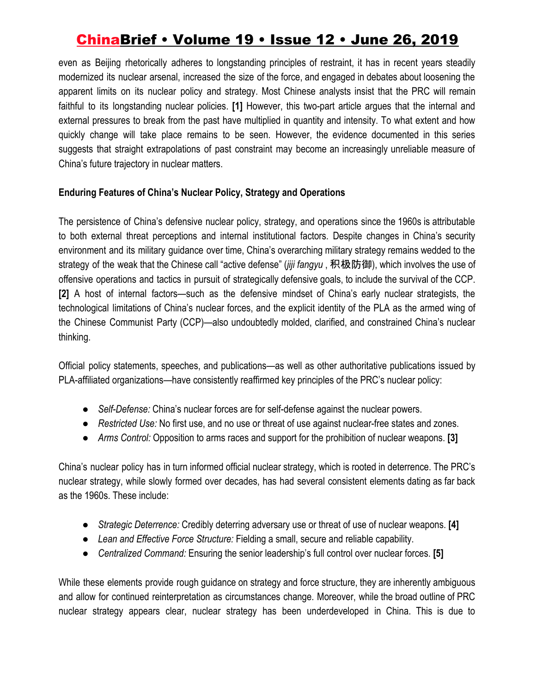even as Beijing rhetorically adheres to longstanding principles of restraint, it has in recent years steadily modernized its nuclear arsenal, increased the size of the force, and engaged in debates about loosening the apparent limits on its nuclear policy and strategy. Most Chinese analysts insist that the PRC will remain faithful to its longstanding nuclear policies. **[1]** However, this two-part article argues that the internal and external pressures to break from the past have multiplied in quantity and intensity. To what extent and how quickly change will take place remains to be seen. However, the evidence documented in this series suggests that straight extrapolations of past constraint may become an increasingly unreliable measure of China's future trajectory in nuclear matters.

#### **Enduring Features of China's Nuclear Policy, Strategy and Operations**

The persistence of China's defensive nuclear policy, strategy, and operations since the 1960s is attributable to both external threat perceptions and internal institutional factors. Despite changes in China's security environment and its military guidance over time, China's overarching military strategy remains wedded to the strategy of the weak that the Chinese call "active defense" (*jiji fangyu* , 积极防御), which involves the use of offensive operations and tactics in pursuit of strategically defensive goals, to include the survival of the CCP. **[2]** A host of internal factors—such as the defensive mindset of China's early nuclear strategists, the technological limitations of China's nuclear forces, and the explicit identity of the PLA as the armed wing of the Chinese Communist Party (CCP)—also undoubtedly molded, clarified, and constrained China's nuclear thinking.

Official policy statements, speeches, and publications—as well as other authoritative publications issued by PLA-affiliated organizations—have consistently reaffirmed key principles of the PRC's nuclear policy:

- *Self-Defense:* China's nuclear forces are for self-defense against the nuclear powers.
- *Restricted Use:* No first use, and no use or threat of use against nuclear-free states and zones.
- *Arms Control:* Opposition to arms races and support for the prohibition of nuclear weapons. **[3]**

China's nuclear policy has in turn informed official nuclear strategy, which is rooted in deterrence. The PRC's nuclear strategy, while slowly formed over decades, has had several consistent elements dating as far back as the 1960s. These include:

- *Strategic Deterrence:* Credibly deterring adversary use or threat of use of nuclear weapons. **[4]**
- *Lean and Effective Force Structure:* Fielding a small, secure and reliable capability.
- *Centralized Command:* Ensuring the senior leadership's full control over nuclear forces. **[5]**

While these elements provide rough guidance on strategy and force structure, they are inherently ambiguous and allow for continued reinterpretation as circumstances change. Moreover, while the broad outline of PRC nuclear strategy appears clear, nuclear strategy has been underdeveloped in China. This is due to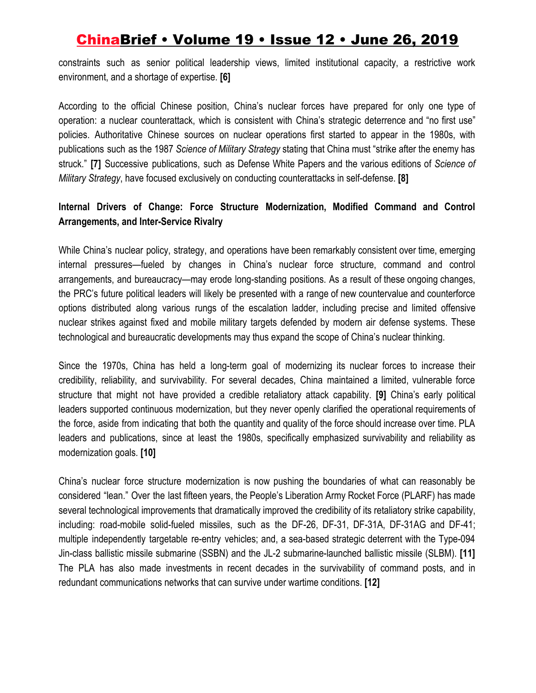constraints such as senior political leadership views, limited institutional capacity, a restrictive work environment, and a shortage of expertise. **[6]**

According to the official Chinese position, China's nuclear forces have prepared for only one type of operation: a nuclear counterattack, which is consistent with China's strategic deterrence and "no first use" policies. Authoritative Chinese sources on nuclear operations first started to appear in the 1980s, with publications such as the 1987 *Science of Military Strategy* stating that China must "strike after the enemy has struck." **[7]** Successive publications, such as Defense White Papers and the various editions of *Science of Military Strategy*, have focused exclusively on conducting counterattacks in self-defense. **[8]**

### **Internal Drivers of Change: Force Structure Modernization, Modified Command and Control Arrangements, and Inter-Service Rivalry**

While China's nuclear policy, strategy, and operations have been remarkably consistent over time, emerging internal pressures—fueled by changes in China's nuclear force structure, command and control arrangements, and bureaucracy—may erode long-standing positions. As a result of these ongoing changes, the PRC's future political leaders will likely be presented with a range of new countervalue and counterforce options distributed along various rungs of the escalation ladder, including precise and limited offensive nuclear strikes against fixed and mobile military targets defended by modern air defense systems. These technological and bureaucratic developments may thus expand the scope of China's nuclear thinking.

Since the 1970s, China has held a long-term goal of modernizing its nuclear forces to increase their credibility, reliability, and survivability. For several decades, China maintained a limited, vulnerable force structure that might not have provided a credible retaliatory attack capability. **[9]** China's early political leaders supported continuous modernization, but they never openly clarified the operational requirements of the force, aside from indicating that both the quantity and quality of the force should increase over time. PLA leaders and publications, since at least the 1980s, specifically emphasized survivability and reliability as modernization goals. **[10]**

China's nuclear force structure modernization is now pushing the boundaries of what can reasonably be considered "lean." Over the last fifteen years, the People's Liberation Army Rocket Force (PLARF) has made several technological improvements that dramatically improved the credibility of its retaliatory strike capability, including: road-mobile solid-fueled missiles, such as the DF-26, DF-31, DF-31A, DF-31AG and DF-41; multiple independently targetable re-entry vehicles; and, a sea-based strategic deterrent with the Type-094 Jin-class ballistic missile submarine (SSBN) and the JL-2 submarine-launched ballistic missile (SLBM). **[11]** The PLA has also made investments in recent decades in the survivability of command posts, and in redundant communications networks that can survive under wartime conditions. **[12]**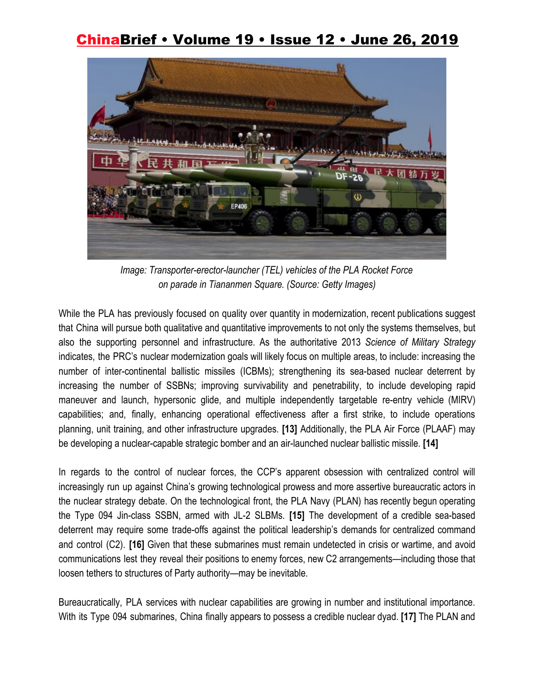

*Image: Transporter-erector-launcher (TEL) vehicles of the PLA Rocket Force on parade in Tiananmen Square. (Source: Getty Images)*

While the PLA has previously focused on quality over quantity in modernization, recent publications suggest that China will pursue both qualitative and quantitative improvements to not only the systems themselves, but also the supporting personnel and infrastructure. As the authoritative 2013 *Science of Military Strategy* indicates, the PRC's nuclear modernization goals will likely focus on multiple areas, to include: increasing the number of inter-continental ballistic missiles (ICBMs); strengthening its sea-based nuclear deterrent by increasing the number of SSBNs; improving survivability and penetrability, to include developing rapid maneuver and launch, hypersonic glide, and multiple independently targetable re-entry vehicle (MIRV) capabilities; and, finally, enhancing operational effectiveness after a first strike, to include operations planning, unit training, and other infrastructure upgrades. **[13]** Additionally, the PLA Air Force (PLAAF) may be developing a nuclear-capable strategic bomber and an air-launched nuclear ballistic missile. **[14]**

In regards to the control of nuclear forces, the CCP's apparent obsession with centralized control will increasingly run up against China's growing technological prowess and more assertive bureaucratic actors in the nuclear strategy debate. On the technological front, the PLA Navy (PLAN) has recently begun operating the Type 094 Jin-class SSBN, armed with JL-2 SLBMs. **[15]** The development of a credible sea-based deterrent may require some trade-offs against the political leadership's demands for centralized command and control (C2). **[16]** Given that these submarines must remain undetected in crisis or wartime, and avoid communications lest they reveal their positions to enemy forces, new C2 arrangements—including those that loosen tethers to structures of Party authority—may be inevitable.

Bureaucratically, PLA services with nuclear capabilities are growing in number and institutional importance. With its Type 094 submarines, China finally appears to possess a credible nuclear dyad. **[17]** The PLAN and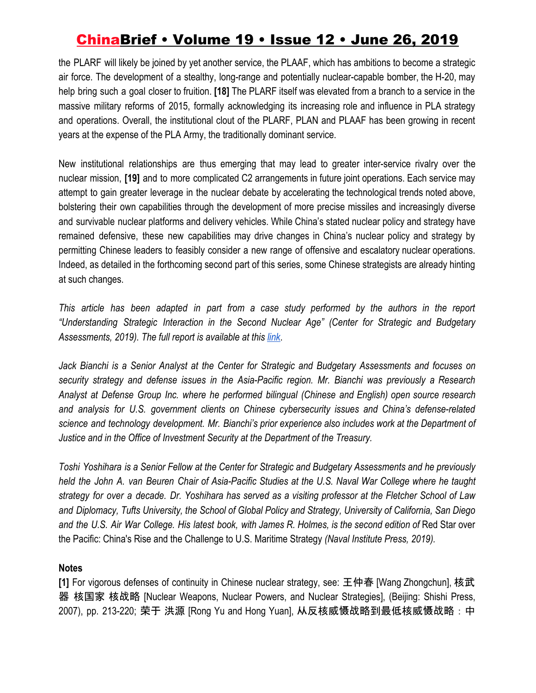the PLARF will likely be joined by yet another service, the PLAAF, which has ambitions to become a strategic air force. The development of a stealthy, long-range and potentially nuclear-capable bomber, the H-20, may help bring such a goal closer to fruition. **[18]** The PLARF itself was elevated from a branch to a service in the massive military reforms of 2015, formally acknowledging its increasing role and influence in PLA strategy and operations. Overall, the institutional clout of the PLARF, PLAN and PLAAF has been growing in recent years at the expense of the PLA Army, the traditionally dominant service.

New institutional relationships are thus emerging that may lead to greater inter-service rivalry over the nuclear mission, **[19]** and to more complicated C2 arrangements in future joint operations. Each service may attempt to gain greater leverage in the nuclear debate by accelerating the technological trends noted above, bolstering their own capabilities through the development of more precise missiles and increasingly diverse and survivable nuclear platforms and delivery vehicles. While China's stated nuclear policy and strategy have remained defensive, these new capabilities may drive changes in China's nuclear policy and strategy by permitting Chinese leaders to feasibly consider a new range of offensive and escalatory nuclear operations. Indeed, as detailed in the forthcoming second part of this series, some Chinese strategists are already hinting at such changes.

*This article has been adapted in part from a case study performed by the authors in the report "Understanding Strategic Interaction in the Second Nuclear Age" (Center for Strategic and Budgetary Assessments, 2019). The full report is available at this [link](https://csbaonline.org/uploads/documents/Undrstanding_Strategic_Interaction.pdf)*.

*Jack Bianchi is a Senior Analyst at the Center for Strategic and Budgetary Assessments and focuses on security strategy and defense issues in the Asia-Pacific region. Mr. Bianchi was previously a Research Analyst at Defense Group Inc. where he performed bilingual (Chinese and English) open source research and analysis for U.S. government clients on Chinese cybersecurity issues and China's defense-related science and technology development. Mr. Bianchi's prior experience also includes work at the Department of Justice and in the Office of Investment Security at the Department of the Treasury.*

Toshi Yoshihara is a Senior Fellow at the Center for Strategic and Budgetary Assessments and he previously held the John A. van Beuren Chair of Asia-Pacific Studies at the U.S. Naval War College where he taught strategy for over a decade. Dr. Yoshihara has served as a visiting professor at the Fletcher School of Law *and Diplomacy, Tufts University, the School of Global Policy and Strategy, University of California, San Diego* and the U.S. Air War College. His latest book, with James R. Holmes, is the second edition of Red Star over the Pacific: China's Rise and the Challenge to U.S. Maritime Strategy *(Naval Institute Press, 2019).*

#### **Notes**

**[1]** For vigorous defenses of continuity in Chinese nuclear strategy, see: 王仲春 [Wang Zhongchun], 核武 器 核国家 核战略 [Nuclear Weapons, Nuclear Powers, and Nuclear Strategies], (Beijing: Shishi Press, 2007), pp. 213-220; 荣于 洪源 [Rong Yu and Hong Yuan], 从反核威慑战略到最低核威慑战略:中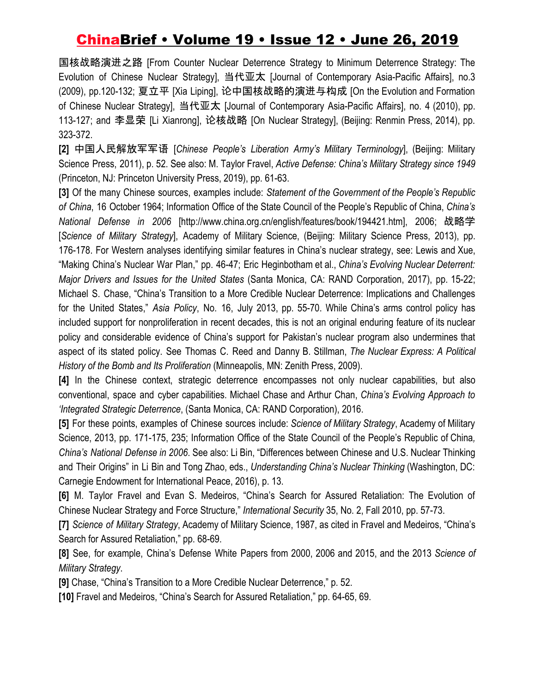国核战略演进之路 [From Counter Nuclear Deterrence Strategy to Minimum Deterrence Strategy: The Evolution of Chinese Nuclear Strategy], 当代亚太 [Journal of Contemporary Asia-Pacific Affairs], no.3 (2009), pp.120-132; 夏立平 [Xia Liping], 论中国核战略的演进与构成 [On the Evolution and Formation of Chinese Nuclear Strategy], 当代亚太 [Journal of Contemporary Asia-Pacific Affairs], no. 4 (2010), pp. 113-127; and 李显荣 [Li Xianrong], 论核战略 [On Nuclear Strategy], (Beijing: Renmin Press, 2014), pp. 323-372.

**[2]** 中国人民解放军军语 [*Chinese People's Liberation Army's Military Terminology*], (Beijing: Military Science Press, 2011), p. 52. See also: M. Taylor Fravel, *Active Defense: China's Military Strategy since 1949* (Princeton, NJ: Princeton University Press, 2019), pp. 61-63.

**[3]** Of the many Chinese sources, examples include: *Statement of the Government of the People's Republic of China*, 16 October 1964; Information Office of the State Council of the People's Republic of China, *China's National Defense in 2006* [http://www.china.org.cn/english/features/book/194421.htm], 2006; 战略学 [*Science of Military Strategy*], Academy of Military Science, (Beijing: Military Science Press, 2013), pp. 176-178. For Western analyses identifying similar features in China's nuclear strategy, see: Lewis and Xue, "Making China's Nuclear War Plan," pp. 46-47; Eric Heginbotham et al., *China's Evolving Nuclear Deterrent: Major Drivers and Issues for the United States* (Santa Monica, CA: RAND Corporation, 2017), pp. 15-22; Michael S. Chase, "China's Transition to a More Credible Nuclear Deterrence: Implications and Challenges for the United States," *Asia Policy*, No. 16, July 2013, pp. 55-70. While China's arms control policy has included support for nonproliferation in recent decades, this is not an original enduring feature of its nuclear policy and considerable evidence of China's support for Pakistan's nuclear program also undermines that aspect of its stated policy. See Thomas C. Reed and Danny B. Stillman, *The Nuclear Express: A Political History of the Bomb and Its Proliferation* (Minneapolis, MN: Zenith Press, 2009).

**[4]** In the Chinese context, strategic deterrence encompasses not only nuclear capabilities, but also conventional, space and cyber capabilities. Michael Chase and Arthur Chan, *China's Evolving Approach to 'Integrated Strategic Deterrence*, (Santa Monica, CA: RAND Corporation), 2016.

**[5]** For these points, examples of Chinese sources include: *Science of Military Strategy*, Academy of Military Science, 2013, pp. 171-175, 235; Information Office of the State Council of the People's Republic of China*, China's National Defense in 2006*. See also: Li Bin, "Differences between Chinese and U.S. Nuclear Thinking and Their Origins" in Li Bin and Tong Zhao, eds., *Understanding China's Nuclear Thinking* (Washington, DC: Carnegie Endowment for International Peace, 2016), p. 13.

**[6]** M. Taylor Fravel and Evan S. Medeiros, "China's Search for Assured Retaliation: The Evolution of Chinese Nuclear Strategy and Force Structure," *International Security* 35, No. 2, Fall 2010, pp. 57-73.

**[7]** *Science of Military Strategy*, Academy of Military Science, 1987, as cited in Fravel and Medeiros, "China's Search for Assured Retaliation," pp. 68-69.

**[8]** See, for example, China's Defense White Papers from 2000, 2006 and 2015, and the 2013 *Science of Military Strategy*.

**[9]** Chase, "China's Transition to a More Credible Nuclear Deterrence," p. 52.

**[10]** Fravel and Medeiros, "China's Search for Assured Retaliation," pp. 64-65, 69.